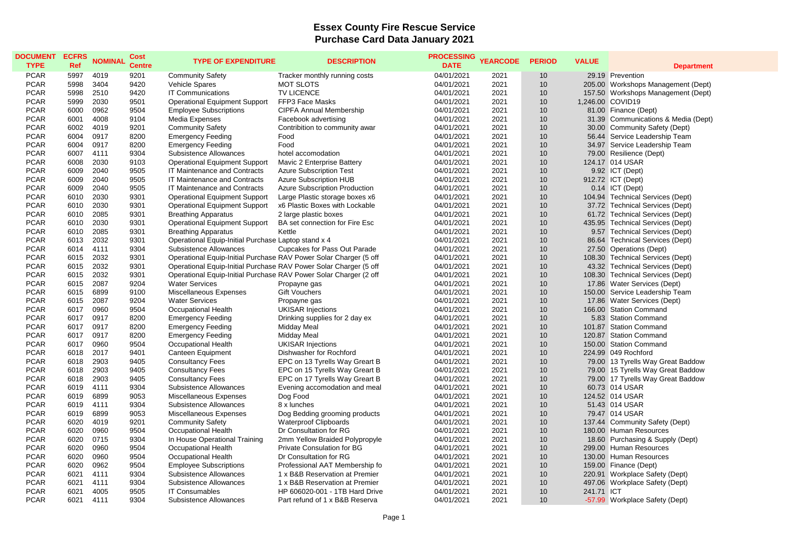## **Essex County Fire Rescue Service Purchase Card Data January 2021**

| <b>DOCUMENT</b> | <b>ECFRS</b> | <b>NOMINAL</b> | <b>Cost</b>   | <b>TYPE OF EXPENDITURE</b>                                        | <b>DESCRIPTION</b>                   | <b>PROCESSING</b> | <b>YEARCODE</b> | <b>PERIOD</b>   | <b>VALUE</b> |                                     |
|-----------------|--------------|----------------|---------------|-------------------------------------------------------------------|--------------------------------------|-------------------|-----------------|-----------------|--------------|-------------------------------------|
| <b>TYPE</b>     | <b>Ref</b>   |                | <b>Centre</b> |                                                                   |                                      | <b>DATE</b>       |                 |                 |              | <b>Department</b>                   |
| <b>PCAR</b>     | 5997         | 4019           | 9201          | <b>Community Safety</b>                                           | Tracker monthly running costs        | 04/01/2021        | 2021            | 10              |              | 29.19 Prevention                    |
| <b>PCAR</b>     | 5998         | 3404           | 9420          | <b>Vehicle Spares</b>                                             | <b>MOT SLOTS</b>                     | 04/01/2021        | 2021            | 10              |              | 205.00 Workshops Management (Dept)  |
| <b>PCAR</b>     | 5998         | 2510           | 9420          | IT Communications                                                 | TV LICENCE                           | 04/01/2021        | 2021            | 10              |              | 157.50 Workshops Management (Dept)  |
| <b>PCAR</b>     | 5999         | 2030           | 9501          | <b>Operational Equipment Support</b>                              | FFP3 Face Masks                      | 04/01/2021        | 2021            | 10              |              | 1,246.00 COVID19                    |
| <b>PCAR</b>     | 6000         | 0962           | 9504          | <b>Employee Subscriptions</b>                                     | <b>CIPFA Annual Membership</b>       | 04/01/2021        | 2021            | 10              |              | 81.00 Finance (Dept)                |
| <b>PCAR</b>     | 6001         | 4008           | 9104          | Media Expenses                                                    | Facebook advertising                 | 04/01/2021        | 2021            | 10              |              | 31.39 Communications & Media (Dept) |
| <b>PCAR</b>     | 6002         | 4019           | 9201          | <b>Community Safety</b>                                           | Contribition to community awar       | 04/01/2021        | 2021            | 10              |              | 30.00 Community Safety (Dept)       |
| <b>PCAR</b>     | 6004         | 0917           | 8200          | <b>Emergency Feeding</b>                                          | Food                                 | 04/01/2021        | 2021            | 10              |              | 56.44 Service Leadership Team       |
| <b>PCAR</b>     | 6004         | 0917           | 8200          | <b>Emergency Feeding</b>                                          | Food                                 | 04/01/2021        | 2021            | 10              |              | 34.97 Service Leadership Team       |
| <b>PCAR</b>     | 6007         | 4111           | 9304          | Subsistence Allowances                                            | hotel accomodation                   | 04/01/2021        | 2021            | 10              |              | 79.00 Resilience (Dept)             |
| <b>PCAR</b>     | 6008         | 2030           | 9103          | <b>Operational Equipment Support</b>                              | Mavic 2 Enterprise Battery           | 04/01/2021        | 2021            | 10              |              | 124.17 014 USAR                     |
| <b>PCAR</b>     | 6009         | 2040           | 9505          | IT Maintenance and Contracts                                      | <b>Azure Subscription Test</b>       | 04/01/2021        | 2021            | 10              |              | 9.92 ICT (Dept)                     |
| <b>PCAR</b>     | 6009         | 2040           | 9505          | IT Maintenance and Contracts                                      | <b>Azure Subscription HUB</b>        | 04/01/2021        | 2021            | 10              |              | 912.72 ICT (Dept)                   |
| <b>PCAR</b>     | 6009         | 2040           | 9505          | IT Maintenance and Contracts                                      | <b>Azure Subscription Production</b> | 04/01/2021        | 2021            | 10              |              | 0.14 ICT (Dept)                     |
| <b>PCAR</b>     | 6010         | 2030           | 9301          | <b>Operational Equipment Support</b>                              | Large Plastic storage boxes x6       | 04/01/2021        | 2021            | 10              |              | 104.94 Technical Services (Dept)    |
| <b>PCAR</b>     | 6010         | 2030           | 9301          | <b>Operational Equipment Support</b>                              | x6 Plastic Boxes with Lockable       | 04/01/2021        | 2021            | 10              |              | 37.72 Technical Services (Dept)     |
| <b>PCAR</b>     | 6010         | 2085           | 9301          | <b>Breathing Apparatus</b>                                        | 2 large plastic boxes                | 04/01/2021        | 2021            | 10              |              | 61.72 Technical Services (Dept)     |
| <b>PCAR</b>     | 6010         | 2030           | 9301          | <b>Operational Equipment Support</b>                              | BA set connection for Fire Esc       | 04/01/2021        | 2021            | 10              |              | 435.95 Technical Services (Dept)    |
| <b>PCAR</b>     | 6010         | 2085           | 9301          | <b>Breathing Apparatus</b>                                        | Kettle                               | 04/01/2021        | 2021            | 10              |              | 9.57 Technical Services (Dept)      |
| <b>PCAR</b>     | 6013         | 2032           | 9301          | Operational Equip-Initial Purchase Laptop stand x 4               |                                      | 04/01/2021        | 2021            | 10              |              | 86.64 Technical Services (Dept)     |
| <b>PCAR</b>     | 6014         | 4111           | 9304          | Subsistence Allowances                                            | Cupcakes for Pass Out Parade         | 04/01/2021        | 2021            | 10              |              | 27.50 Operations (Dept)             |
| <b>PCAR</b>     | 6015         | 2032           | 9301          | Operational Equip-Initial Purchase RAV Power Solar Charger (5 off |                                      | 04/01/2021        | 2021            | 10              |              | 108.30 Technical Services (Dept)    |
| <b>PCAR</b>     | 6015         | 2032           | 9301          | Operational Equip-Initial Purchase RAV Power Solar Charger (5 off |                                      | 04/01/2021        | 2021            | 10              |              | 43.32 Technical Services (Dept)     |
| <b>PCAR</b>     | 6015         | 2032           | 9301          | Operational Equip-Initial Purchase RAV Power Solar Charger (2 off |                                      | 04/01/2021        | 2021            | 10              |              | 108.30 Technical Services (Dept)    |
| <b>PCAR</b>     | 6015         | 2087           | 9204          | <b>Water Services</b>                                             | Propayne gas                         | 04/01/2021        | 2021            | 10              |              | 17.86 Water Services (Dept)         |
| <b>PCAR</b>     | 6015         | 6899           | 9100          | Miscellaneous Expenses                                            | <b>Gift Vouchers</b>                 | 04/01/2021        | 2021            | 10              |              | 150.00 Service Leadership Team      |
| <b>PCAR</b>     | 6015         | 2087           | 9204          | <b>Water Services</b>                                             | Propayne gas                         | 04/01/2021        | 2021            | 10              |              | 17.86 Water Services (Dept)         |
| <b>PCAR</b>     | 6017         | 0960           | 9504          | Occupational Health                                               | <b>UKISAR Injections</b>             | 04/01/2021        | 2021            | 10              |              | 166.00 Station Command              |
| <b>PCAR</b>     | 6017         | 0917           | 8200          | <b>Emergency Feeding</b>                                          | Drinking supplies for 2 day ex       | 04/01/2021        | 2021            | 10              |              | 5.83 Station Command                |
| <b>PCAR</b>     | 6017         | 0917           | 8200          | <b>Emergency Feeding</b>                                          | Midday Meal                          | 04/01/2021        | 2021            | 10              |              | 101.87 Station Command              |
| <b>PCAR</b>     | 6017         | 0917           | 8200          | <b>Emergency Feeding</b>                                          | Midday Meal                          | 04/01/2021        | 2021            | 10              |              | 120.87 Station Command              |
| <b>PCAR</b>     | 6017         | 0960           | 9504          | Occupational Health                                               | <b>UKISAR Injections</b>             | 04/01/2021        | 2021            | 10              |              | 150.00 Station Command              |
| <b>PCAR</b>     | 6018         | 2017           | 9401          | <b>Canteen Equipment</b>                                          | Dishwasher for Rochford              | 04/01/2021        | 2021            | 10              |              | 224.99 049 Rochford                 |
| <b>PCAR</b>     | 6018         | 2903           | 9405          | <b>Consultancy Fees</b>                                           | EPC on 13 Tyrells Way Greart B       | 04/01/2021        | 2021            | 10              |              | 79.00 13 Tyrells Way Great Baddow   |
| <b>PCAR</b>     | 6018         | 2903           | 9405          | <b>Consultancy Fees</b>                                           | EPC on 15 Tyrells Way Greart B       | 04/01/2021        | 2021            | 10              |              | 79.00 15 Tyrells Way Great Baddow   |
| <b>PCAR</b>     | 6018         | 2903           | 9405          | <b>Consultancy Fees</b>                                           | EPC on 17 Tyrells Way Greart B       | 04/01/2021        | 2021            | 10              |              | 79.00 17 Tyrells Way Great Baddow   |
| <b>PCAR</b>     | 6019         | 4111           | 9304          | Subsistence Allowances                                            | Evening accomodation and meal        | 04/01/2021        | 2021            | 10              |              | 60.73 014 USAR                      |
| <b>PCAR</b>     | 6019         | 6899           | 9053          | Miscellaneous Expenses                                            | Dog Food                             | 04/01/2021        | 2021            | 10              |              | 124.52 014 USAR                     |
| <b>PCAR</b>     | 6019         | 4111           | 9304          | Subsistence Allowances                                            | 8 x lunches                          | 04/01/2021        | 2021            | 10              |              | 51.43 014 USAR                      |
| <b>PCAR</b>     | 6019         | 6899           | 9053          | Miscellaneous Expenses                                            | Dog Bedding grooming products        | 04/01/2021        | 2021            | 10              |              | 79.47 014 USAR                      |
| <b>PCAR</b>     | 6020         | 4019           | 9201          | <b>Community Safety</b>                                           | <b>Waterproof Clipboards</b>         | 04/01/2021        | 2021            | 10              |              | 137.44 Community Safety (Dept)      |
| <b>PCAR</b>     | 6020         | 0960           | 9504          | Occupational Health                                               | Dr Consultation for RG               | 04/01/2021        | 2021            | 10              |              | 180.00 Human Resources              |
| <b>PCAR</b>     | 6020         | 0715           | 9304          | In House Operational Training                                     | 2mm Yellow Braided Polypropyle       | 04/01/2021        | 2021            | 10              |              | 18.60 Purchasing & Supply (Dept)    |
| <b>PCAR</b>     | 6020         | 0960           | 9504          | <b>Occupational Health</b>                                        | <b>Private Consulation for BG</b>    | 04/01/2021        | 2021            | 10              |              | 299.00 Human Resources              |
| <b>PCAR</b>     | 6020         | 0960           | 9504          | Occupational Health                                               | Dr Consultation for RG               | 04/01/2021        | 2021            | 10              |              | 130.00 Human Resources              |
| <b>PCAR</b>     | 6020         | 0962           | 9504          | <b>Employee Subscriptions</b>                                     | Professional AAT Membership fo       | 04/01/2021        | 2021            | 10              |              | 159.00 Finance (Dept)               |
| <b>PCAR</b>     | 6021         | 4111           | 9304          | Subsistence Allowances                                            | 1 x B&B Reservation at Premier       | 04/01/2021        | 2021            | 10              |              | 220.91 Workplace Safety (Dept)      |
| <b>PCAR</b>     | 6021         | 4111           | 9304          | Subsistence Allowances                                            | 1 x B&B Reservation at Premier       | 04/01/2021        | 2021            | 10              |              | 497.06 Workplace Safety (Dept)      |
| <b>PCAR</b>     | 6021         | 4005           | 9505          | <b>IT Consumables</b>                                             | HP 606020-001 - 1TB Hard Drive       | 04/01/2021        | 2021            | 10              | 241.71 ICT   |                                     |
| <b>PCAR</b>     | 6021         | 4111           | 9304          | Subsistence Allowances                                            | Part refund of 1 x B&B Reserva       | 04/01/2021        | 2021            | 10 <sup>1</sup> |              | -57.99 Workplace Safety (Dept)      |